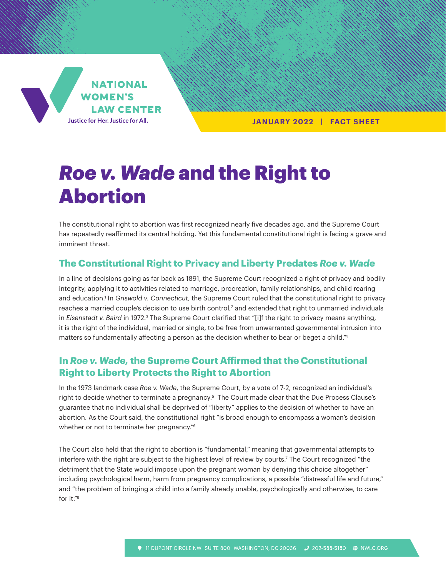

**JANUARY 2022 | FACT SHEET**

# *Roe v. Wade* and the Right to Abortion

The constitutional right to abortion was first recognized nearly five decades ago, and the Supreme Court has repeatedly reaffirmed its central holding. Yet this fundamental constitutional right is facing a grave and imminent threat.

#### **The Constitutional Right to Privacy and Liberty Predates** *Roe v. Wade*

In a line of decisions going as far back as 1891, the Supreme Court recognized a right of privacy and bodily integrity, applying it to activities related to marriage, procreation, family relationships, and child rearing and education.1 In *Griswold v. Connecticut*, the Supreme Court ruled that the constitutional right to privacy reaches a married couple's decision to use birth control,<sup>2</sup> and extended that right to unmarried individuals in *Eisenstadt v. Baird* in 1972.3 The Supreme Court clarified that "[i]f the right to privacy means anything, it is the right of the individual, married or single, to be free from unwarranted governmental intrusion into matters so fundamentally affecting a person as the decision whether to bear or beget a child."4

#### **In** *Roe v. Wade,* **the Supreme Court Affirmed that the Constitutional Right to Liberty Protects the Right to Abortion**

In the 1973 landmark case *Roe v. Wade*, the Supreme Court, by a vote of 7-2, recognized an individual's right to decide whether to terminate a pregnancy.<sup>5</sup> The Court made clear that the Due Process Clause's guarantee that no individual shall be deprived of "liberty" applies to the decision of whether to have an abortion. As the Court said, the constitutional right "is broad enough to encompass a woman's decision whether or not to terminate her pregnancy."6

The Court also held that the right to abortion is "fundamental," meaning that governmental attempts to interfere with the right are subject to the highest level of review by courts.7 The Court recognized "the detriment that the State would impose upon the pregnant woman by denying this choice altogether" including psychological harm, harm from pregnancy complications, a possible "distressful life and future," and "the problem of bringing a child into a family already unable, psychologically and otherwise, to care for it."8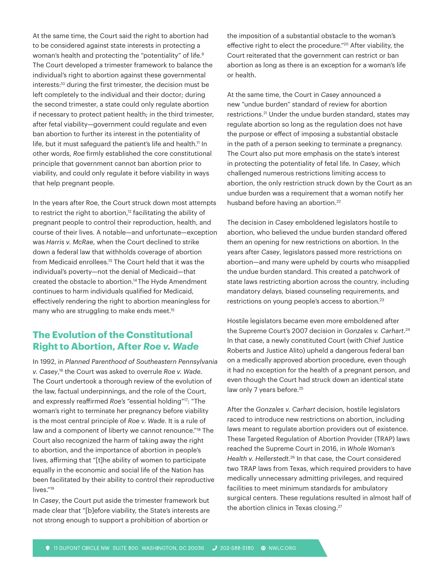At the same time, the Court said the right to abortion had to be considered against state interests in protecting a woman's health and protecting the "potentiality" of life.<sup>9</sup> The Court developed a trimester framework to balance the individual's right to abortion against these governmental interests:10 during the first trimester, the decision must be left completely to the individual and their doctor; during the second trimester, a state could only regulate abortion if necessary to protect patient health; in the third trimester, after fetal viability—government could regulate and even ban abortion to further its interest in the potentiality of life, but it must safeguard the patient's life and health.<sup>11</sup> In other words, *Roe* firmly established the core constitutional principle that government cannot ban abortion prior to viability, and could only regulate it before viability in ways that help pregnant people.

In the years after Roe, the Court struck down most attempts to restrict the right to abortion,<sup>12</sup> facilitating the ability of pregnant people to control their reproduction, health, and course of their lives. A notable—and unfortunate—exception was *Harris v. McRae*, when the Court declined to strike down a federal law that withholds coverage of abortion from Medicaid enrollees.<sup>13</sup> The Court held that it was the individual's poverty—not the denial of Medicaid—that created the obstacle to abortion.<sup>14</sup> The Hyde Amendment continues to harm individuals qualified for Medicaid, effectively rendering the right to abortion meaningless for many who are struggling to make ends meet.<sup>15</sup>

### **The Evolution of the Constitutional Right to Abortion, After** *Roe v. Wade*

In 1992, in *Planned Parenthood of Southeastern Pennsylvania v. Casey*, 16 the Court was asked to overrule *Roe v. Wade*. The Court undertook a thorough review of the evolution of the law, factual underpinnings, and the role of the Court, and expressly reaffirmed *Roe's* "essential holding"17: "The woman's right to terminate her pregnancy before viability is the most central principle of *Roe v. Wade*. It is a rule of law and a component of liberty we cannot renounce."<sup>18</sup> The Court also recognized the harm of taking away the right to abortion, and the importance of abortion in people's lives, affirming that "[t]he ability of women to participate equally in the economic and social life of the Nation has been facilitated by their ability to control their reproductive lives."19

In *Casey*, the Court put aside the trimester framework but made clear that "[b]efore viability, the State's interests are not strong enough to support a prohibition of abortion or

the imposition of a substantial obstacle to the woman's effective right to elect the procedure."20 After viability, the Court reiterated that the government can restrict or ban abortion as long as there is an exception for a woman's life or health.

At the same time, the Court in *Casey* announced a new "undue burden" standard of review for abortion restrictions.21 Under the undue burden standard, states may regulate abortion so long as the regulation does not have the purpose or effect of imposing a substantial obstacle in the path of a person seeking to terminate a pregnancy. The Court also put more emphasis on the state's interest in protecting the potentiality of fetal life. In *Casey*, which challenged numerous restrictions limiting access to abortion, the only restriction struck down by the Court as an undue burden was a requirement that a woman notify her husband before having an abortion.<sup>22</sup>

The decision in *Casey* emboldened legislators hostile to abortion, who believed the undue burden standard offered them an opening for new restrictions on abortion. In the years after *Casey*, legislators passed more restrictions on abortion—and many were upheld by courts who misapplied the undue burden standard. This created a patchwork of state laws restricting abortion across the country, including mandatory delays, biased counseling requirements, and restrictions on young people's access to abortion.<sup>23</sup>

Hostile legislators became even more emboldened after the Supreme Court's 2007 decision in *Gonzales v. Carhart*. 24 In that case, a newly constituted Court (with Chief Justice Roberts and Justice Alito) upheld a dangerous federal ban on a medically approved abortion procedure, even though it had no exception for the health of a pregnant person, and even though the Court had struck down an identical state law only 7 years before.<sup>25</sup>

After the *Gonzales v. Carhart* decision, hostile legislators raced to introduce new restrictions on abortion, including laws meant to regulate abortion providers out of existence. These Targeted Regulation of Abortion Provider (TRAP) laws reached the Supreme Court in 2016, in *Whole Woman's Health v. Hellerstedt*. 26 In that case, the Court considered two TRAP laws from Texas, which required providers to have medically unnecessary admitting privileges, and required facilities to meet minimum standards for ambulatory surgical centers. These regulations resulted in almost half of the abortion clinics in Texas closing.27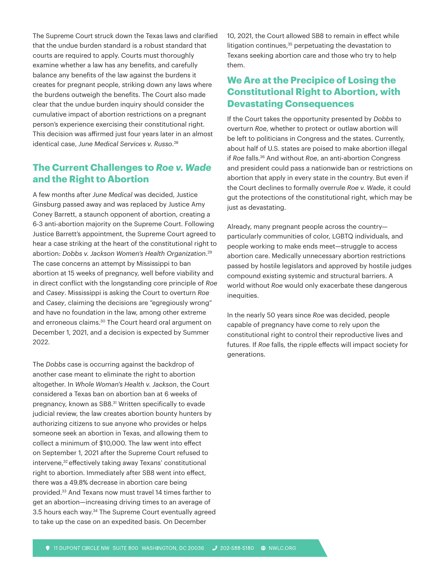The Supreme Court struck down the Texas laws and clarified that the undue burden standard is a robust standard that courts are required to apply. Courts must thoroughly examine whether a law has any benefits, and carefully balance any benefits of the law against the burdens it creates for pregnant people, striking down any laws where the burdens outweigh the benefits. The Court also made clear that the undue burden inquiry should consider the cumulative impact of abortion restrictions on a pregnant person's experience exercising their constitutional right. This decision was affirmed just four years later in an almost identical case, *June Medical Services v. Russo*. 28

#### **The Current Challenges to** *Roe v. Wade* **and the Right to Abortion**

A few months after *June Medical* was decided, Justice Ginsburg passed away and was replaced by Justice Amy Coney Barrett, a staunch opponent of abortion, creating a 6-3 anti-abortion majority on the Supreme Court. Following Justice Barrett's appointment, the Supreme Court agreed to hear a case striking at the heart of the constitutional right to abortion: *Dobbs v. Jackson Women's Health Organization*. 29 The case concerns an attempt by Mississippi to ban abortion at 15 weeks of pregnancy, well before viability and in direct conflict with the longstanding core principle of *Roe* and *Casey*. Mississippi is asking the Court to overturn *Roe* and *Casey*, claiming the decisions are "egregiously wrong" and have no foundation in the law, among other extreme and erroneous claims.<sup>30</sup> The Court heard oral argument on December 1, 2021, and a decision is expected by Summer 2022.

The *Dobbs* case is occurring against the backdrop of another case meant to eliminate the right to abortion altogether. In *Whole Woman's Health v. Jackson*, the Court considered a Texas ban on abortion ban at 6 weeks of pregnancy, known as SB8.<sup>31</sup> Written specifically to evade judicial review, the law creates abortion bounty hunters by authorizing citizens to sue anyone who provides or helps someone seek an abortion in Texas, and allowing them to collect a minimum of \$10,000. The law went into effect on September 1, 2021 after the Supreme Court refused to intervene,32 effectively taking away Texans' constitutional right to abortion. Immediately after SB8 went into effect, there was a 49.8% decrease in abortion care being provided.33 And Texans now must travel 14 times farther to get an abortion—increasing driving times to an average of 3.5 hours each way.34 The Supreme Court eventually agreed to take up the case on an expedited basis. On December

10, 2021, the Court allowed SB8 to remain in effect while litigation continues, $35$  perpetuating the devastation to Texans seeking abortion care and those who try to help them.

## **We Are at the Precipice of Losing the Constitutional Right to Abortion, with Devastating Consequences**

If the Court takes the opportunity presented by *Dobbs* to overturn *Roe*, whether to protect or outlaw abortion will be left to politicians in Congress and the states. Currently, about half of U.S. states are poised to make abortion illegal if *Roe* falls.36 And without *Roe*, an anti-abortion Congress and president could pass a nationwide ban or restrictions on abortion that apply in every state in the country. But even if the Court declines to formally overrule *Roe v. Wade*, it could gut the protections of the constitutional right, which may be just as devastating.

Already, many pregnant people across the country particularly communities of color, LGBTQ individuals, and people working to make ends meet—struggle to access abortion care. Medically unnecessary abortion restrictions passed by hostile legislators and approved by hostile judges compound existing systemic and structural barriers. A world without *Roe* would only exacerbate these dangerous inequities.

In the nearly 50 years since *Roe* was decided, people capable of pregnancy have come to rely upon the constitutional right to control their reproductive lives and futures. If *Roe* falls, the ripple effects will impact society for generations.